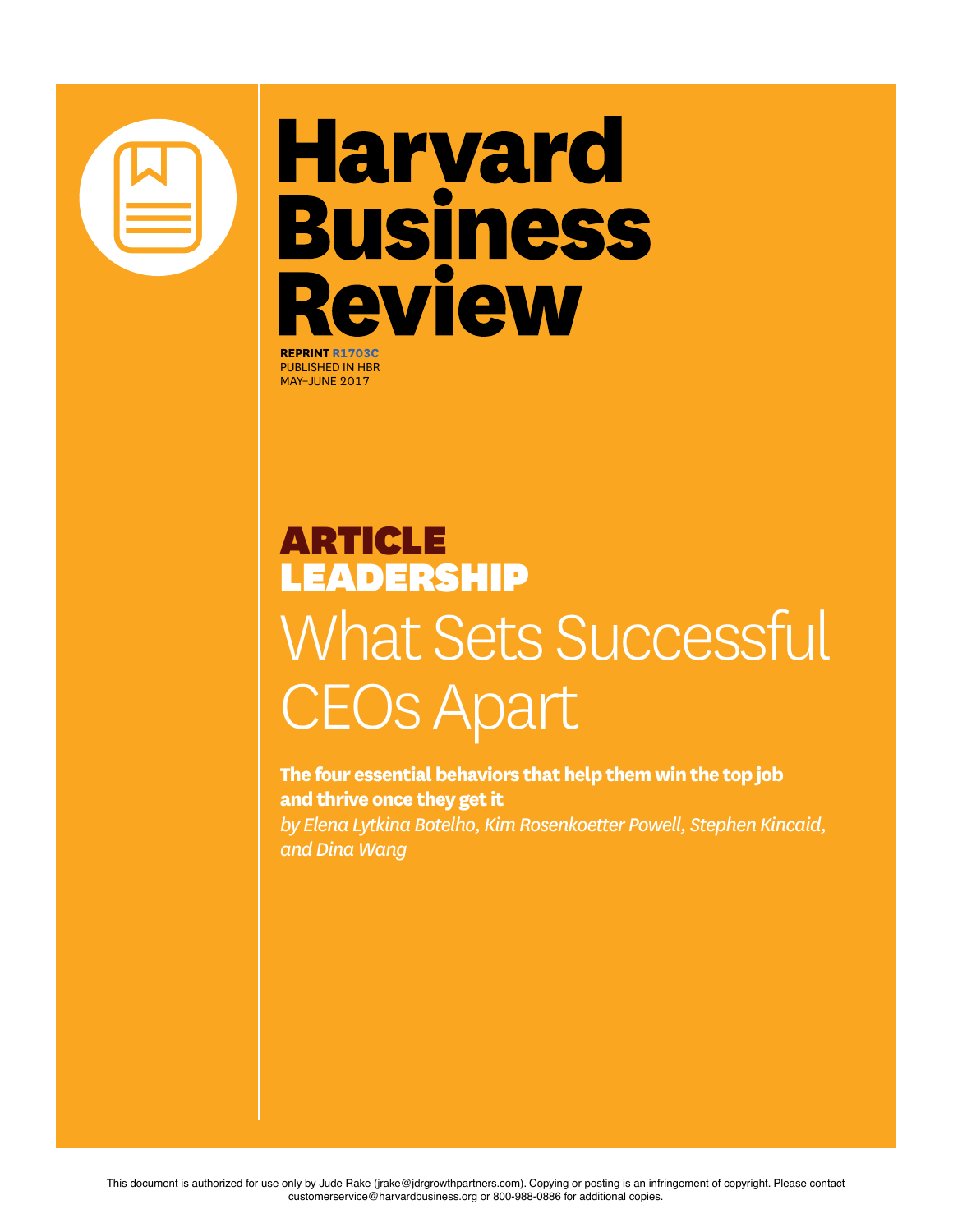

# **Harvard Business Review**

**REPRINT R1703C**  PUBLISHED IN HBR MAY–JUNE 2017

### ARTICLE LEADERSHIP What Sets Successful CEOs Apart

**The four essential behaviors that help them win the top job and thrive once they get it** *by Elena Lytkina Botelho, Kim Rosenkoetter Powell, Stephen Kincaid, and Dina Wang*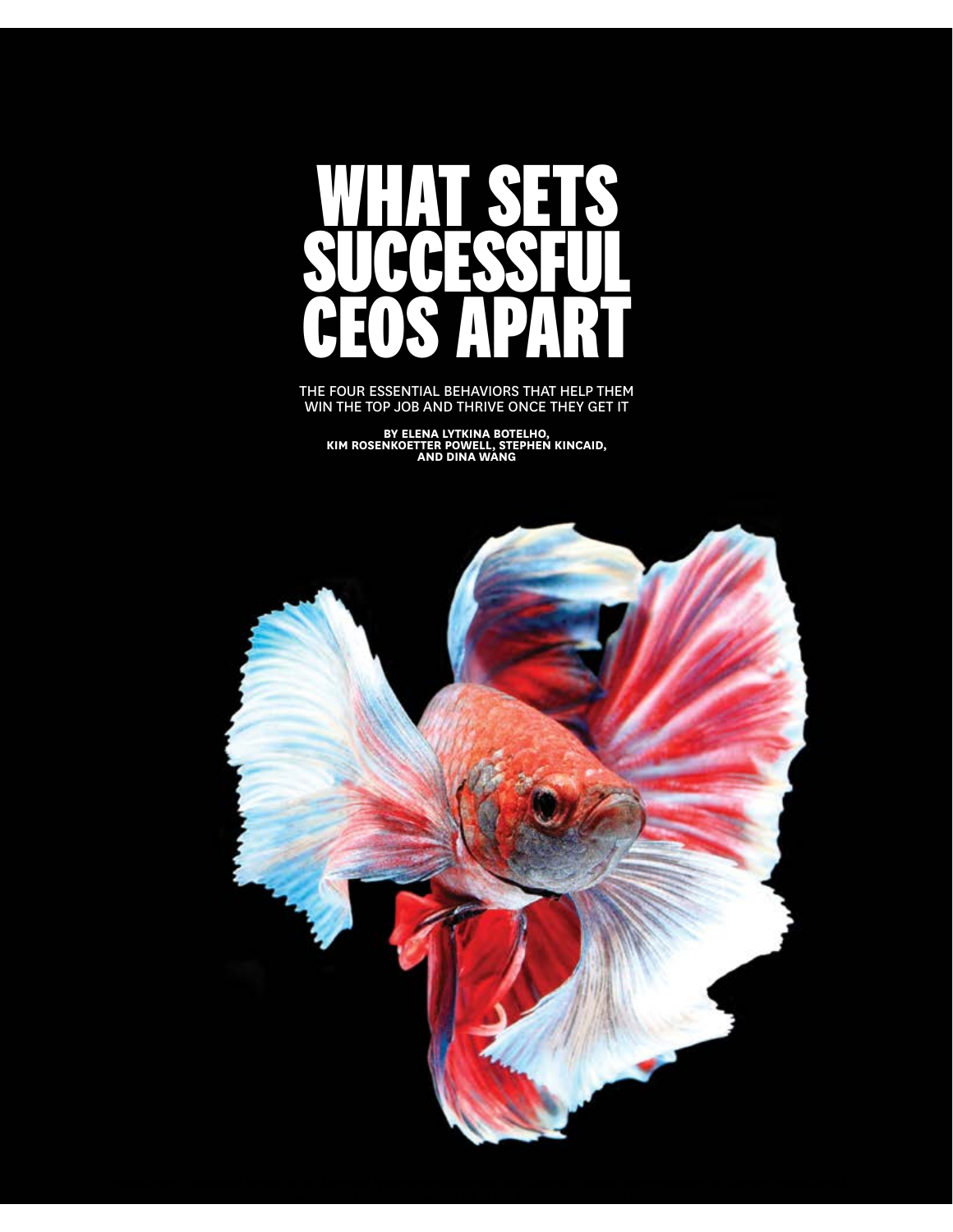

THE FOUR ESSENTIAL BEHAVIORS THAT HELP THEM WIN THE TOP JOB AND THRIVE ONCE THEY GET IT

BY ELENA LYTKINA BOTELHO,<br>KIM ROSENKOETTER POWELL, STEPHEN KINCAID,<br>AND DINA WANG

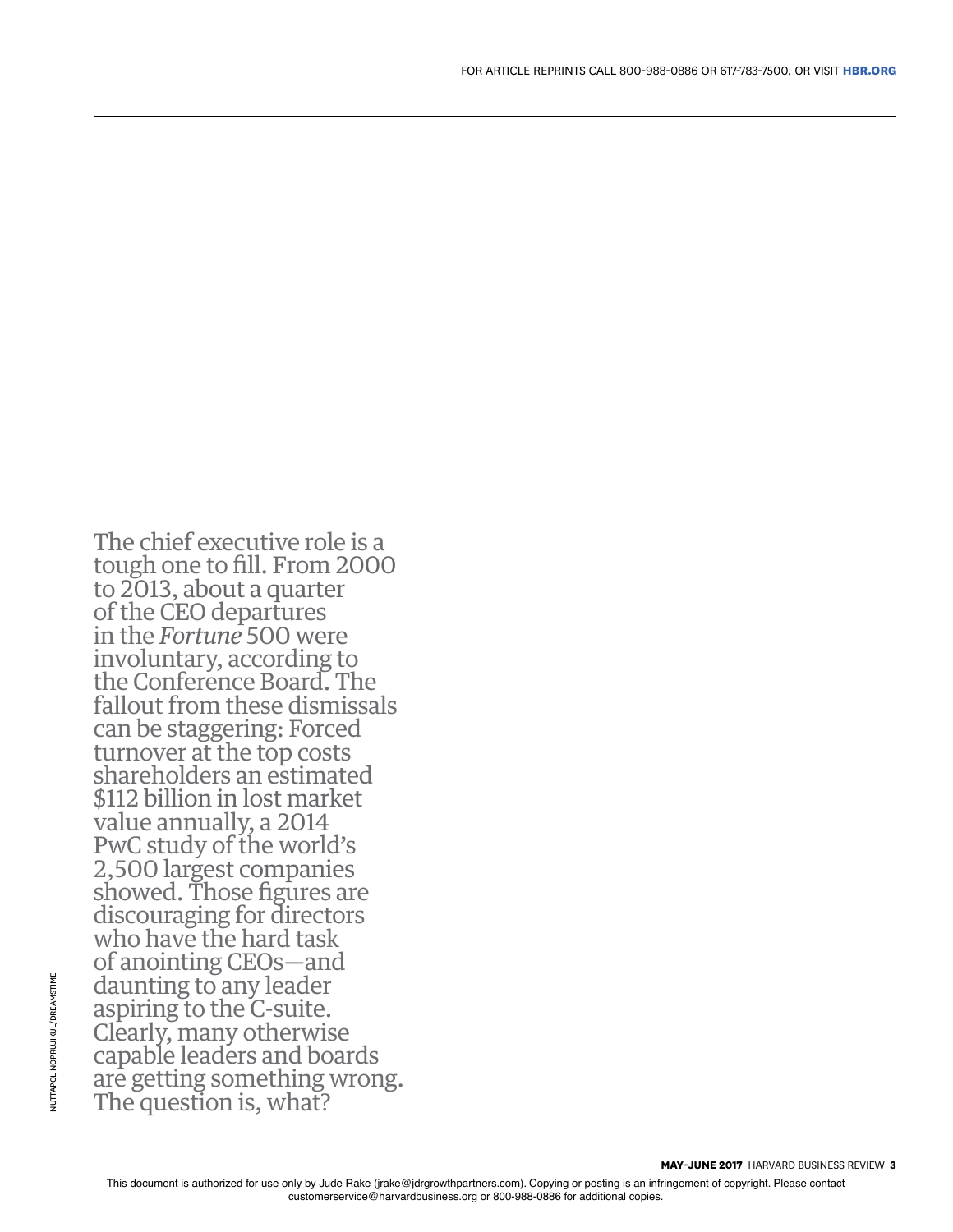The chief executive role is a tough one to fill. From 2000<br>to 2013, about a quarter of the CEO departures in the *Fortune* 500 were involuntary, according to the Conference Board. The fallout from these dismissals can be staggering: Forced turnover at the top costs shareholders an estimated \$112 billion in lost market value annually, a 2014 PwC study of the world's showed. Those figures are discouraging for directors who have the hard task of anointing CEOs—and daunting to any leader aspiring to the C-suite. Clearly, many otherwise capable leaders and boards are getting something wrong. The question is, what?

**MAY–JUNE 2017** HARVARD BUSINESS REVIEW **3**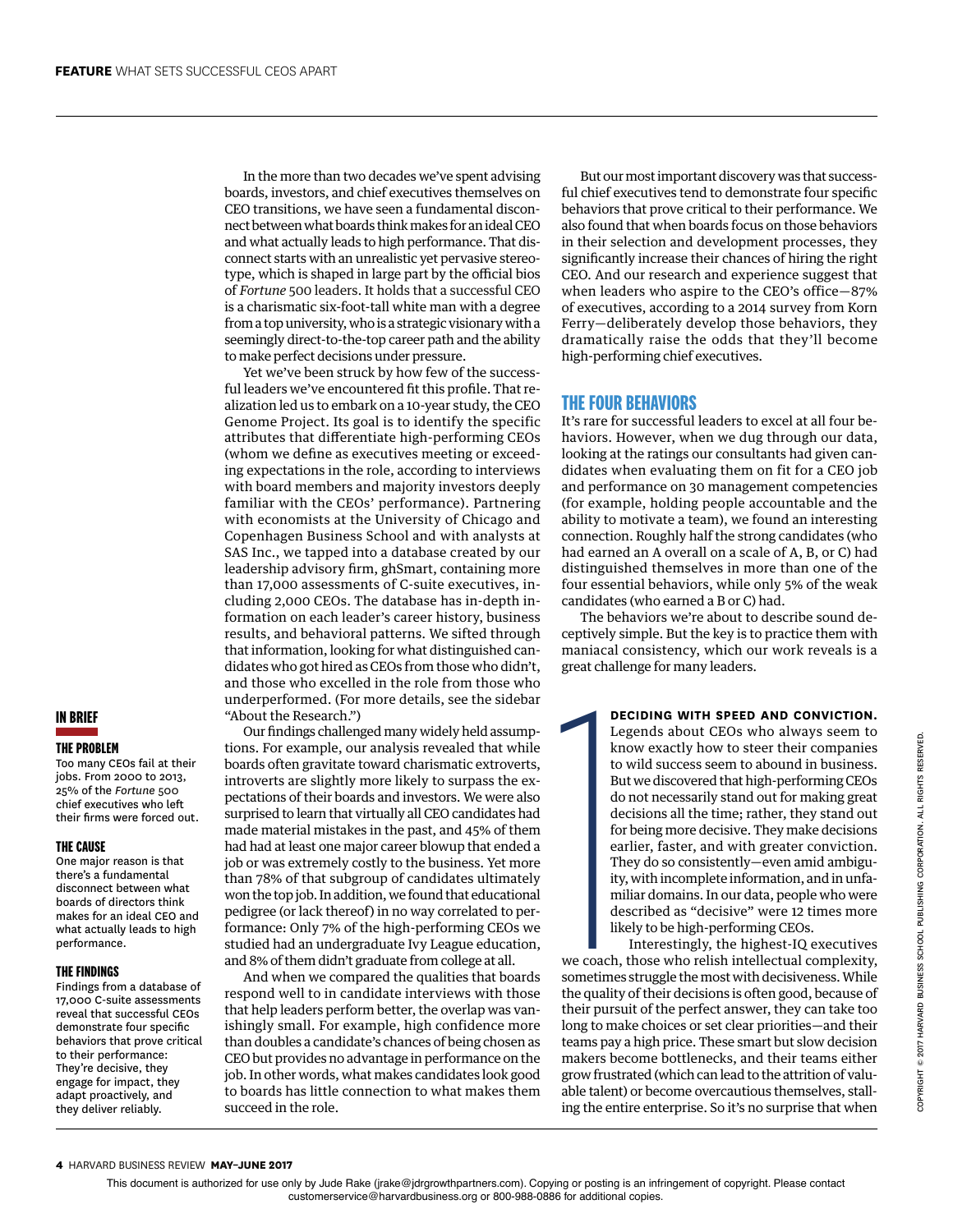In the more than two decades we've spent advising boards, investors, and chief executives themselves on CEO transitions, we have seen a fundamental disconnect between what boards think makes for an ideal CEO and what actually leads to high performance. That disconnect starts with an unrealistic yet pervasive stereotype, which is shaped in large part by the official bios of *Fortune* 500 leaders. It holds that a successful CEO is a charismatic six-foot-tall white man with a degree from a top university, who is a strategic visionary with a seemingly direct-to-the-top career path and the ability to make perfect decisions under pressure.

Yet we've been struck by how few of the successful leaders we've encountered ft this profle. That realization led us to embark on a 10-year study, the CEO Genome Project. Its goal is to identify the specific attributes that diferentiate high-performing CEOs (whom we defne as executives meeting or exceeding expectations in the role, according to interviews with board members and majority investors deeply familiar with the CEOs' performance). Partnering with economists at the University of Chicago and Copenhagen Business School and with analysts at SAS Inc., we tapped into a database created by our leadership advisory frm, ghSmart, containing more than 17,000 assessments of C-suite executives, including 2,000 CEOs. The database has in-depth information on each leader's career history, business results, and behavioral patterns. We sifted through that information, looking for what distinguished candidates who got hired as CEOs from those who didn't, and those who excelled in the role from those who underperformed. (For more details, see the sidebar "About the Research.")

**IN BRIEF THE PROBLEM** Too many CEOs fail at their jobs. From 2000 to 2013,

#### **THE CAUSE**

One major reason is that there's a fundamental disconnect between what boards of directors think makes for an ideal CEO and what actually leads to high performance.

25% of the *Fortune* 500 chief executives who left their firms were forced out.

#### **THE FINDINGS**

Findings from a database of 17,000 C-suite assessments reveal that successful CEOs demonstrate four specific behaviors that prove critical to their performance: They're decisive, they engage for impact, they adapt proactively, and they deliver reliably.

Our fndings challenged many widely held assumptions. For example, our analysis revealed that while boards often gravitate toward charismatic extroverts, introverts are slightly more likely to surpass the expectations of their boards and investors. We were also surprised to learn that virtually all CEO candidates had made material mistakes in the past, and 45% of them had had at least one major career blowup that ended a job or was extremely costly to the business. Yet more than 78% of that subgroup of candidates ultimately won the top job. In addition, we found that educational pedigree (or lack thereof) in no way correlated to performance: Only 7% of the high-performing CEOs we studied had an undergraduate Ivy League education, and 8% of them didn't graduate from college at all.

And when we compared the qualities that boards respond well to in candidate interviews with those that help leaders perform better, the overlap was vanishingly small. For example, high confidence more than doubles a candidate's chances of being chosen as CEO but provides no advantage in performance on the job. In other words, what makes candidates look good to boards has little connection to what makes them succeed in the role.

But our most important discovery was that successful chief executives tend to demonstrate four specifc behaviors that prove critical to their performance. We also found that when boards focus on those behaviors in their selection and development processes, they signifcantly increase their chances of hiring the right CEO. And our research and experience suggest that when leaders who aspire to the CEO's office—87% of executives, according to a 2014 survey from Korn Ferry—deliberately develop those behaviors, they dramatically raise the odds that they'll become high-performing chief executives.

#### **THE FOUR BEHAVIORS**

It's rare for successful leaders to excel at all four behaviors. However, when we dug through our data, looking at the ratings our consultants had given candidates when evaluating them on fit for a CEO job and performance on 30 management competencies (for example, holding people accountable and the ability to motivate a team), we found an interesting connection. Roughly half the strong candidates (who had earned an A overall on a scale of A, B, or C) had distinguished themselves in more than one of the four essential behaviors, while only 5% of the weak candidates (who earned a B or C) had.

The behaviors we're about to describe sound deceptively simple. But the key is to practice them with maniacal consistency, which our work reveals is a great challenge for many leaders.

#### **DECIDING WITH SPEED AND CONVICTION.**

Legends about CEOs who always seem to know exactly how to steer their companies to wild success seem to abound in business. But we discovered that high-performing CEOs do not necessarily stand out for making great decisions all the time; rather, they stand out for being more decisive. They make decisions earlier, faster, and with greater conviction. They do so consistently—even amid ambiguity, with incomplete information, and in unfamiliar domains. In our data, people who were described as "decisive" were 12 times more likely to be high-performing CEOs.

France<br>
great chal<br>
great chal<br>
great chal<br>
Like<br>
the duality<br>
for exact sometime<br>
we coach<br>
sometime<br>
the quality<br>
the quality<br>
the quality<br>
the quality<br>
the quality<br>
the quality<br>
the quality<br>
the quality<br>
the quality<br>
th Interestingly, the highest-IQ executives we coach, those who relish intellectual complexity, sometimes struggle the most with decisiveness. While the quality of their decisions is often good, because of their pursuit of the perfect answer, they can take too long to make choices or set clear priorities—and their teams pay a high price. These smart but slow decision makers become bottlenecks, and their teams either grow frustrated (which can lead to the attrition of valuable talent) or become overcautious themselves, stalling the entire enterprise. So it's no surprise that when

**4** HARVARD BUSINESS REVIEW **MAY–JUNE 2017**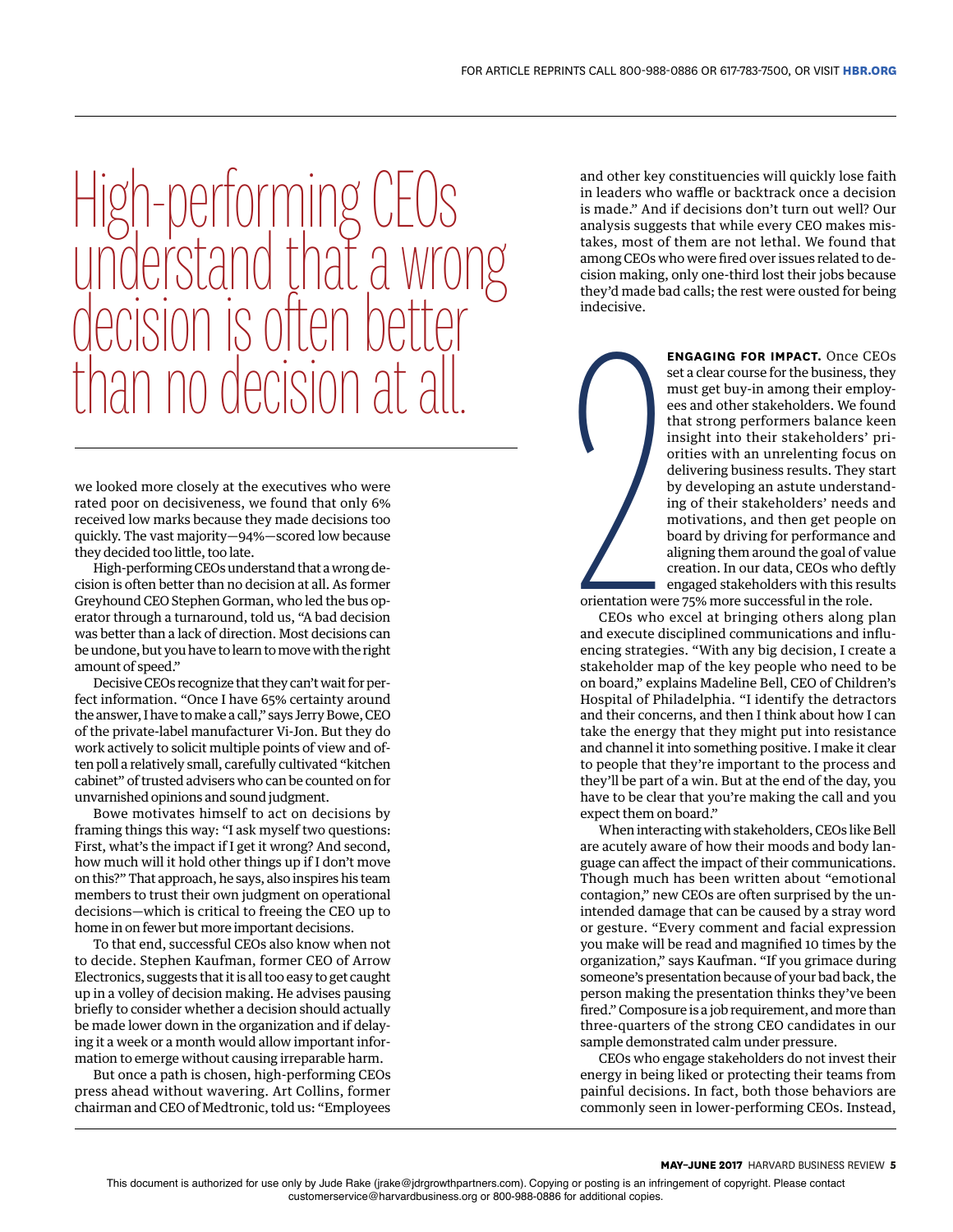## High-performing CEOs understand that a wrong decision is often better erision a

we looked more closely at the executives who were rated poor on decisiveness, we found that only 6% received low marks because they made decisions too quickly. The vast majority—94%—scored low because they decided too little, too late.

High-performing CEOs understand that a wrong decision is often better than no decision at all. As former Greyhound CEO Stephen Gorman, who led the bus operator through a turnaround, told us, "A bad decision was better than a lack of direction. Most decisions can be undone, but you have to learn to move with the right amount of speed."

Decisive CEOs recognize that they can't wait for perfect information. "Once I have 65% certainty around the answer, I have to make a call," says Jerry Bowe, CEO of the private-label manufacturer Vi-Jon. But they do work actively to solicit multiple points of view and often poll a relatively small, carefully cultivated "kitchen cabinet" of trusted advisers who can be counted on for unvarnished opinions and sound judgment.

Bowe motivates himself to act on decisions by framing things this way: "I ask myself two questions: First, what's the impact if I get it wrong? And second, how much will it hold other things up if I don't move on this?" That approach, he says, also inspires his team members to trust their own judgment on operational decisions—which is critical to freeing the CEO up to home in on fewer but more important decisions.

To that end, successful CEOs also know when not to decide. Stephen Kaufman, former CEO of Arrow Electronics, suggests that it is all too easy to get caught up in a volley of decision making. He advises pausing briefy to consider whether a decision should actually be made lower down in the organization and if delaying it a week or a month would allow important information to emerge without causing irreparable harm.

But once a path is chosen, high-performing CEOs press ahead without wavering. Art Collins, former chairman and CEO of Medtronic, told us: "Employees

and other key constituencies will quickly lose faith in leaders who waffle or backtrack once a decision is made." And if decisions don't turn out well? Our analysis suggests that while every CEO makes mistakes, most of them are not lethal. We found that among CEOs who were fred over issues related to decision making, only one-third lost their jobs because they'd made bad calls; the rest were ousted for being indecisive.

> **ENGAGING FOR IMPACT.** Once CEOs set a clear course for the business, they must get buy-in among their employees and other stakeholders. We found that strong performers balance keen insight into their stakeholders' priorities with an unrelenting focus on delivering business results. They start by developing an astute understanding of their stakeholders' needs and motivations, and then get people on board by driving for performance and aligning them around the goal of value creation. In our data, CEOs who deftly engaged stakeholders with this results

orientation were 75% more successful in the role.

orientation we<br>CEOs who<br>and execute d CEOs who excel at bringing others along plan and execute disciplined communications and infuencing strategies. "With any big decision, I create a stakeholder map of the key people who need to be on board," explains Madeline Bell, CEO of Children's Hospital of Philadelphia. "I identify the detractors and their concerns, and then I think about how I can take the energy that they might put into resistance and channel it into something positive. I make it clear to people that they're important to the process and they'll be part of a win. But at the end of the day, you have to be clear that you're making the call and you expect them on board."

When interacting with stakeholders, CEOs like Bell are acutely aware of how their moods and body language can afect the impact of their communications. Though much has been written about "emotional contagion," new CEOs are often surprised by the unintended damage that can be caused by a stray word or gesture. "Every comment and facial expression you make will be read and magnifed 10 times by the organization," says Kaufman. "If you grimace during someone's presentation because of your bad back, the person making the presentation thinks they've been fred." Composure is a job requirement, and more than three-quarters of the strong CEO candidates in our sample demonstrated calm under pressure.

CEOs who engage stakeholders do not invest their energy in being liked or protecting their teams from painful decisions. In fact, both those behaviors are commonly seen in lower-performing CEOs. Instead,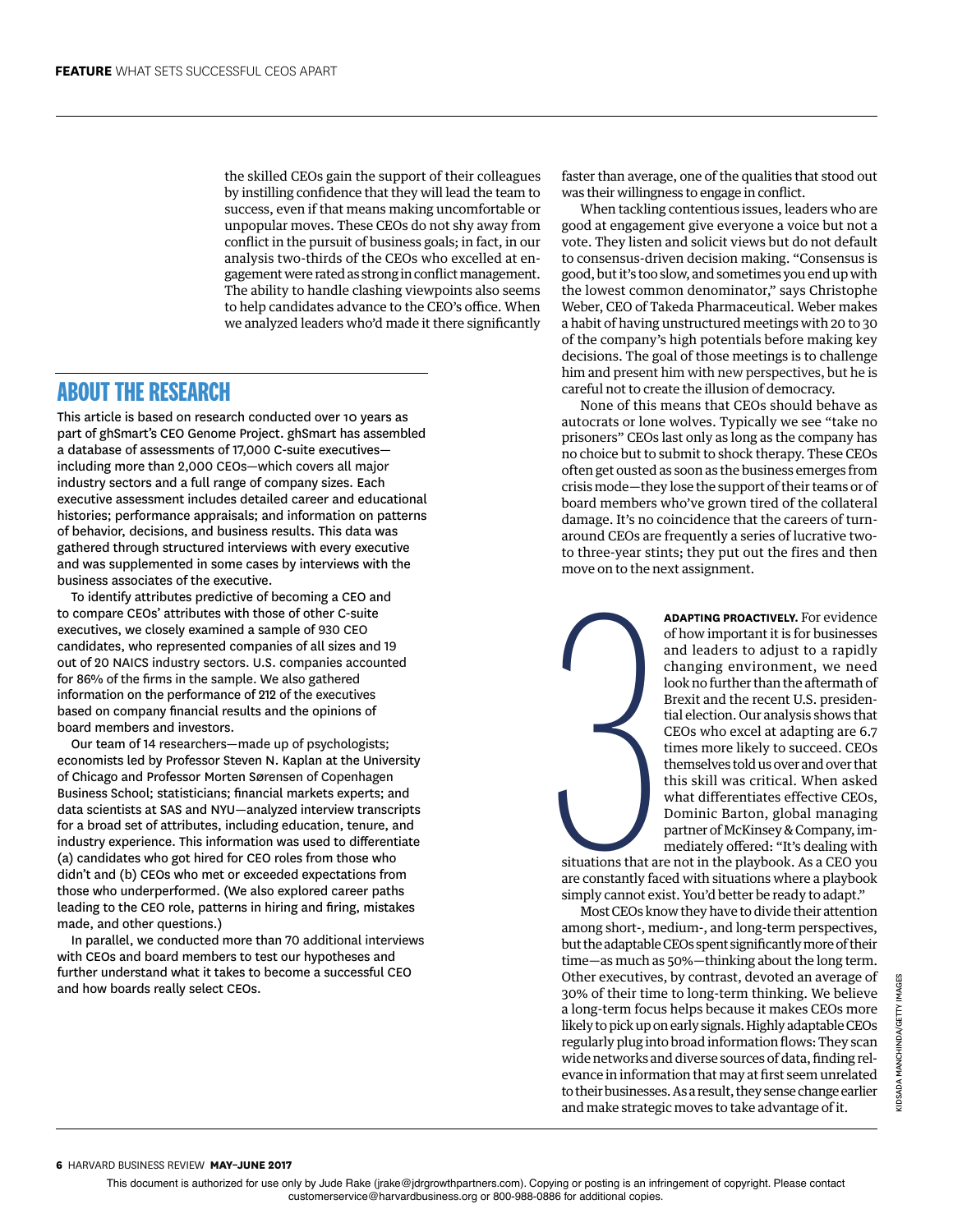the skilled CEOs gain the support of their colleagues by instilling confdence that they will lead the team to success, even if that means making uncomfortable or unpopular moves. These CEOs do not shy away from confict in the pursuit of business goals; in fact, in our analysis two-thirds of the CEOs who excelled at engagement were rated as strong in confict management. The ability to handle clashing viewpoints also seems to help candidates advance to the CEO's office. When we analyzed leaders who'd made it there signifcantly

#### **ABOUT THE RESEARCH**

This article is based on research conducted over 10 years as part of ghSmart's CEO Genome Project. ghSmart has assembled a database of assessments of 17,000 C-suite executives including more than 2,000 CEOs—which covers all major industry sectors and a full range of company sizes. Each executive assessment includes detailed career and educational histories; performance appraisals; and information on patterns of behavior, decisions, and business results. This data was gathered through structured interviews with every executive and was supplemented in some cases by interviews with the business associates of the executive.

To identify attributes predictive of becoming a CEO and to compare CEOs' attributes with those of other C-suite executives, we closely examined a sample of 930 CEO candidates, who represented companies of all sizes and 19 out of 20 NAICS industry sectors. U.S. companies accounted for 86% of the firms in the sample. We also gathered information on the performance of 212 of the executives based on company financial results and the opinions of board members and investors.

Our team of 14 researchers—made up of psychologists; economists led by Professor Steven N. Kaplan at the University of Chicago and Professor Morten Sørensen of Copenhagen Business School; statisticians; financial markets experts; and data scientists at SAS and NYU—analyzed interview transcripts for a broad set of attributes, including education, tenure, and industry experience. This information was used to differentiate (a) candidates who got hired for CEO roles from those who didn't and (b) CEOs who met or exceeded expectations from those who underperformed. (We also explored career paths leading to the CEO role, patterns in hiring and firing, mistakes made, and other questions.)

In parallel, we conducted more than 70 additional interviews with CEOs and board members to test our hypotheses and further understand what it takes to become a successful CEO and how boards really select CEOs.

faster than average, one of the qualities that stood out was their willingness to engage in confict.

When tackling contentious issues, leaders who are good at engagement give everyone a voice but not a vote. They listen and solicit views but do not default to consensus-driven decision making. "Consensus is good, but it's too slow, and sometimes you end up with the lowest common denominator," says Christophe Weber, CEO of Takeda Pharmaceutical. Weber makes a habit of having unstructured meetings with 20 to 30 of the company's high potentials before making key decisions. The goal of those meetings is to challenge him and present him with new perspectives, but he is careful not to create the illusion of democracy.

None of this means that CEOs should behave as autocrats or lone wolves. Typically we see "take no prisoners" CEOs last only as long as the company has no choice but to submit to shock therapy. These CEOs often get ousted as soon as the business emerges from crisis mode—they lose the support of their teams or of board members who've grown tired of the collateral damage. It's no coincidence that the careers of turnaround CEOs are frequently a series of lucrative twoto three-year stints; they put out the fires and then move on to the next assignment.

around CEOs are<br>to three-year still<br>move on to the n<br>move on to the n<br>move on to the n<br>simply cannot ex<br>situations that as<br>simply cannot ex **ADAPTING PROACTIVELY.** For evidence of how important it is for businesses and leaders to adjust to a rapidly changing environment, we need look no further than the aftermath of Brexit and the recent U.S. presidential election. Our analysis shows that CEOs who excel at adapting are 6.7 times more likely to succeed. CEOs themselves told us over and over that this skill was critical. When asked what differentiates effective CEOs, Dominic Barton, global managing partner of McKinsey & Company, immediately ofered: "It's dealing with

situations that are not in the playbook. As a CEO you are constantly faced with situations where a playbook simply cannot exist. You'd better be ready to adapt."

Most CEOs know they have to divide their attention among short-, medium-, and long-term perspectives, but the adaptable CEOs spent signifcantly more of their time—as much as 50%—thinking about the long term. Other executives, by contrast, devoted an average of 30% of their time to long-term thinking. We believe a long-term focus helps because it makes CEOs more likely to pick up on early signals. Highly adaptable CEOs regularly plug into broad information flows: They scan wide networks and diverse sources of data, fnding relevance in information that may at frst seem unrelated to their businesses. As a result, they sense change earlier and make strategic moves to take advantage of it.

**6** HARVARD BUSINESS REVIEW **MAY–JUNE 2017**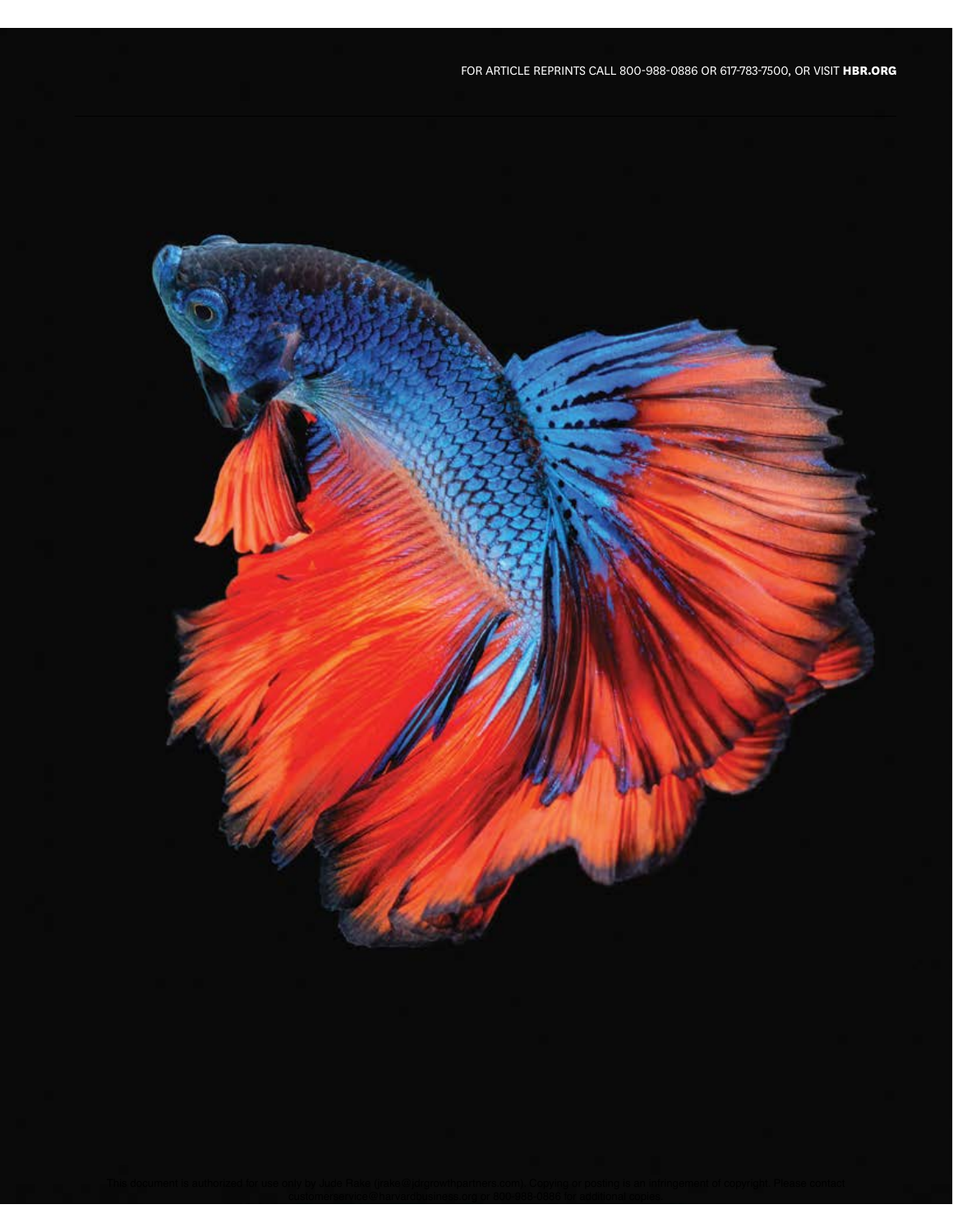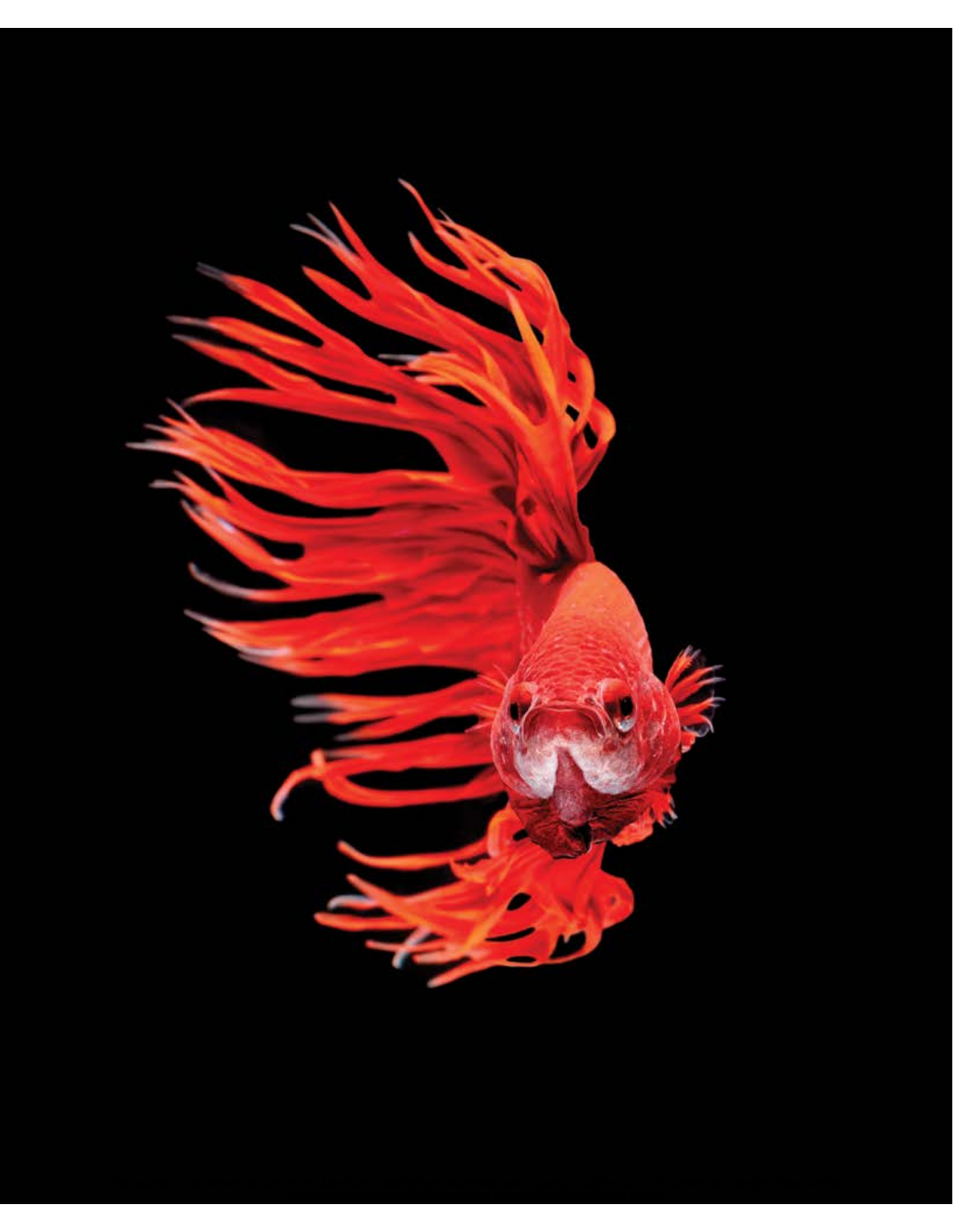